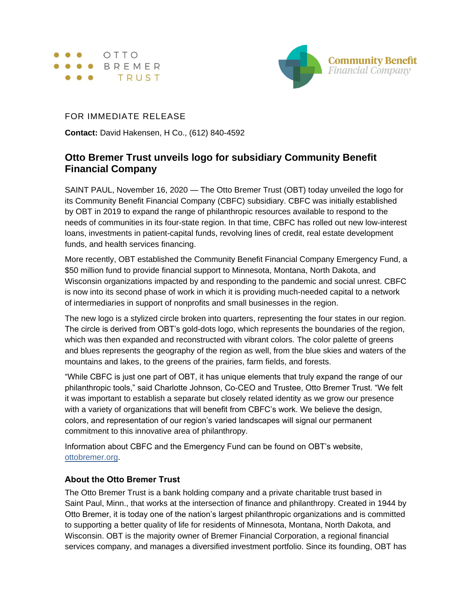



## FOR IMMEDIATE RELEASE

**Contact:** David Hakensen, H Co., (612) 840-4592

## **Otto Bremer Trust unveils logo for subsidiary Community Benefit Financial Company**

SAINT PAUL, November 16, 2020 — The Otto Bremer Trust (OBT) today unveiled the logo for its Community Benefit Financial Company (CBFC) subsidiary. CBFC was initially established by OBT in 2019 to expand the range of philanthropic resources available to respond to the needs of communities in its four-state region. In that time, CBFC has rolled out new low-interest loans, investments in patient-capital funds, revolving lines of credit, real estate development funds, and health services financing.

More recently, OBT established the Community Benefit Financial Company Emergency Fund, a \$50 million fund to provide financial support to Minnesota, Montana, North Dakota, and Wisconsin organizations impacted by and responding to the pandemic and social unrest. CBFC is now into its second phase of work in which it is providing much-needed capital to a network of intermediaries in support of nonprofits and small businesses in the region.

The new logo is a stylized circle broken into quarters, representing the four states in our region. The circle is derived from OBT's gold-dots logo, which represents the boundaries of the region, which was then expanded and reconstructed with vibrant colors. The color palette of greens and blues represents the geography of the region as well, from the blue skies and waters of the mountains and lakes, to the greens of the prairies, farm fields, and forests.

"While CBFC is just one part of OBT, it has unique elements that truly expand the range of our philanthropic tools," said Charlotte Johnson, Co-CEO and Trustee, Otto Bremer Trust. "We felt it was important to establish a separate but closely related identity as we grow our presence with a variety of organizations that will benefit from CBFC's work. We believe the design, colors, and representation of our region's varied landscapes will signal our permanent commitment to this innovative area of philanthropy.

Information about CBFC and the Emergency Fund can be found on OBT's website, [ottobremer.org.](https://ottobremer.org/)

## **About the Otto Bremer Trust**

The Otto Bremer Trust is a bank holding company and a private charitable trust based in Saint Paul, Minn., that works at the intersection of finance and philanthropy. Created in 1944 by Otto Bremer, it is today one of the nation's largest philanthropic organizations and is committed to supporting a better quality of life for residents of Minnesota, Montana, North Dakota, and Wisconsin. OBT is the majority owner of Bremer Financial Corporation, a regional financial services company, and manages a diversified investment portfolio. Since its founding, OBT has